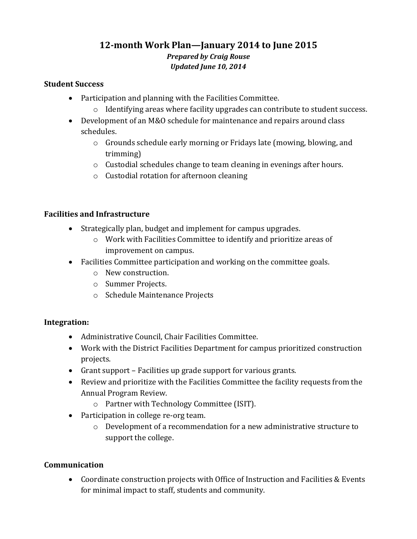# **12-month Work Plan—January 2014 to June 2015** *Prepared by Craig Rouse Updated June 10, 2014*

#### **Student Success**

- Participation and planning with the Facilities Committee.
	- o Identifying areas where facility upgrades can contribute to student success.
- Development of an M&O schedule for maintenance and repairs around class schedules.
	- o Grounds schedule early morning or Fridays late (mowing, blowing, and trimming)
	- o Custodial schedules change to team cleaning in evenings after hours.
	- o Custodial rotation for afternoon cleaning

## **Facilities and Infrastructure**

- Strategically plan, budget and implement for campus upgrades.
	- o Work with Facilities Committee to identify and prioritize areas of improvement on campus.
- Facilities Committee participation and working on the committee goals.
	- o New construction.
	- o Summer Projects.
	- o Schedule Maintenance Projects

## **Integration:**

- Administrative Council, Chair Facilities Committee.
- Work with the District Facilities Department for campus prioritized construction projects.
- Grant support Facilities up grade support for various grants.
- Review and prioritize with the Facilities Committee the facility requests from the Annual Program Review.
	- o Partner with Technology Committee (ISIT).
- Participation in college re-org team.
	- o Development of a recommendation for a new administrative structure to support the college.

## **Communication**

 Coordinate construction projects with Office of Instruction and Facilities & Events for minimal impact to staff, students and community.